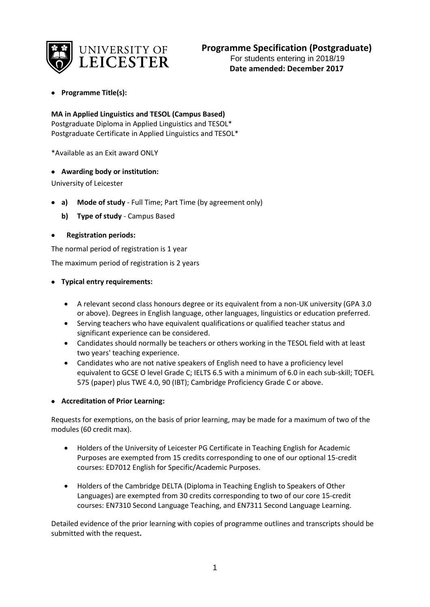

# • **Programme Title(s):**

# **MA in Applied Linguistics and TESOL (Campus Based)**

Postgraduate Diploma in Applied Linguistics and TESOL\* Postgraduate Certificate in Applied Linguistics and TESOL\*

\*Available as an Exit award ONLY

### • **Awarding body or institution:**

University of Leicester

- **a) Mode of study**  Full Time; Part Time (by agreement only)
	- **b) Type of study** Campus Based

### • **Registration periods:**

The normal period of registration is 1 year

The maximum period of registration is 2 years

### • **Typical entry requirements:**

- A relevant second class honours degree or its equivalent from a non-UK university (GPA 3.0 or above). Degrees in English language, other languages, linguistics or education preferred.
- Serving teachers who have equivalent qualifications or qualified teacher status and significant experience can be considered.
- Candidates should normally be teachers or others working in the TESOL field with at least two years' teaching experience.
- Candidates who are not native speakers of English need to have a proficiency level equivalent to GCSE O level Grade C; IELTS 6.5 with a minimum of 6.0 in each sub-skill; TOEFL 575 (paper) plus TWE 4.0, 90 (IBT); Cambridge Proficiency Grade C or above.

#### • **Accreditation of Prior Learning:**

Requests for exemptions, on the basis of prior learning, may be made for a maximum of two of the modules (60 credit max).

- Holders of the University of Leicester PG Certificate in Teaching English for Academic Purposes are exempted from 15 credits corresponding to one of our optional 15-credit courses: ED7012 English for Specific/Academic Purposes.
- Holders of the Cambridge DELTA (Diploma in Teaching English to Speakers of Other Languages) are exempted from 30 credits corresponding to two of our core 15-credit courses: EN7310 Second Language Teaching, and EN7311 Second Language Learning.

Detailed evidence of the prior learning with copies of programme outlines and transcripts should be submitted with the request**.**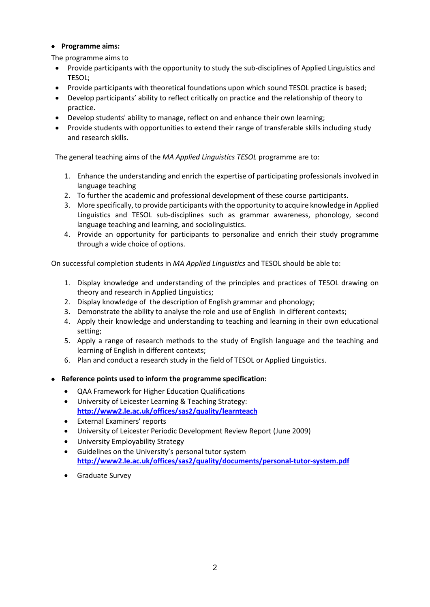# • **Programme aims:**

The programme aims to

- Provide participants with the opportunity to study the sub-disciplines of Applied Linguistics and TESOL;
- Provide participants with theoretical foundations upon which sound TESOL practice is based;
- Develop participants' ability to reflect critically on practice and the relationship of theory to practice.
- Develop students' ability to manage, reflect on and enhance their own learning;
- Provide students with opportunities to extend their range of transferable skills including study and research skills.

The general teaching aims of the *MA Applied Linguistics TESOL* programme are to:

- 1. Enhance the understanding and enrich the expertise of participating professionals involved in language teaching
- 2. To further the academic and professional development of these course participants.
- 3. More specifically, to provide participants with the opportunity to acquire knowledge in Applied Linguistics and TESOL sub-disciplines such as grammar awareness, phonology, second language teaching and learning, and sociolinguistics.
- 4. Provide an opportunity for participants to personalize and enrich their study programme through a wide choice of options.

On successful completion students in *MA Applied Linguistics* and TESOL should be able to:

- 1. Display knowledge and understanding of the principles and practices of TESOL drawing on theory and research in Applied Linguistics;
- 2. Display knowledge of the description of English grammar and phonology;
- 3. Demonstrate the ability to analyse the role and use of English in different contexts;
- 4. Apply their knowledge and understanding to teaching and learning in their own educational setting;
- 5. Apply a range of research methods to the study of English language and the teaching and learning of English in different contexts;
- 6. Plan and conduct a research study in the field of TESOL or Applied Linguistics.

# • **Reference points used to inform the programme specification:**

- QAA Framework for Higher Education Qualifications
- University of Leicester Learning & Teaching Strategy: **<http://www2.le.ac.uk/offices/sas2/quality/learnteach>**
- External Examiners' reports
- University of Leicester Periodic Development Review Report (June 2009)
- University Employability Strategy
- Guidelines on the University's personal tutor system **<http://www2.le.ac.uk/offices/sas2/quality/documents/personal-tutor-system.pdf>**
- Graduate Survey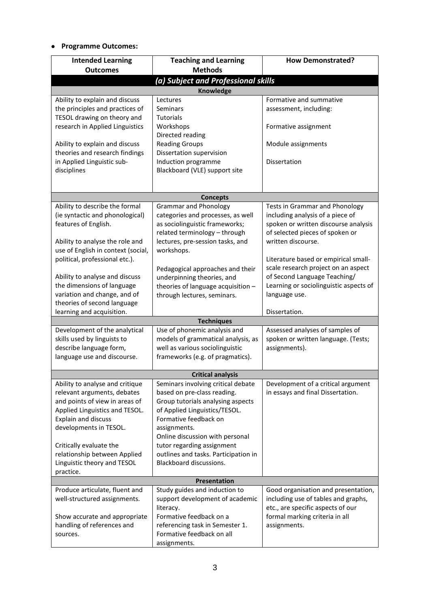# • **Programme Outcomes:**

| <b>Intended Learning</b>                                              | <b>Teaching and Learning</b>                   | <b>How Demonstrated?</b>                              |  |  |  |  |
|-----------------------------------------------------------------------|------------------------------------------------|-------------------------------------------------------|--|--|--|--|
|                                                                       | <b>Methods</b><br><b>Outcomes</b>              |                                                       |  |  |  |  |
| (a) Subject and Professional skills                                   |                                                |                                                       |  |  |  |  |
|                                                                       | Knowledge                                      |                                                       |  |  |  |  |
| Ability to explain and discuss                                        | Lectures                                       | Formative and summative                               |  |  |  |  |
| the principles and practices of                                       | <b>Seminars</b>                                | assessment, including:                                |  |  |  |  |
| TESOL drawing on theory and<br>research in Applied Linguistics        | <b>Tutorials</b><br>Workshops                  | Formative assignment                                  |  |  |  |  |
|                                                                       | Directed reading                               |                                                       |  |  |  |  |
| Ability to explain and discuss                                        | <b>Reading Groups</b>                          | Module assignments                                    |  |  |  |  |
| theories and research findings                                        | Dissertation supervision                       |                                                       |  |  |  |  |
| in Applied Linguistic sub-                                            | Induction programme                            | Dissertation                                          |  |  |  |  |
| disciplines                                                           | Blackboard (VLE) support site                  |                                                       |  |  |  |  |
|                                                                       |                                                |                                                       |  |  |  |  |
|                                                                       |                                                |                                                       |  |  |  |  |
|                                                                       | <b>Concepts</b>                                |                                                       |  |  |  |  |
| Ability to describe the formal                                        | <b>Grammar and Phonology</b>                   | Tests in Grammar and Phonology                        |  |  |  |  |
| (ie syntactic and phonological)                                       | categories and processes, as well              | including analysis of a piece of                      |  |  |  |  |
| features of English.                                                  | as sociolinguistic frameworks;                 | spoken or written discourse analysis                  |  |  |  |  |
|                                                                       | related terminology - through                  | of selected pieces of spoken or<br>written discourse. |  |  |  |  |
| Ability to analyse the role and<br>use of English in context (social, | lectures, pre-session tasks, and<br>workshops. |                                                       |  |  |  |  |
| political, professional etc.).                                        |                                                | Literature based or empirical small-                  |  |  |  |  |
|                                                                       | Pedagogical approaches and their               | scale research project on an aspect                   |  |  |  |  |
| Ability to analyse and discuss                                        | underpinning theories, and                     | of Second Language Teaching/                          |  |  |  |  |
| the dimensions of language                                            | theories of language acquisition -             | Learning or sociolinguistic aspects of                |  |  |  |  |
| variation and change, and of                                          | through lectures, seminars.                    | language use.                                         |  |  |  |  |
| theories of second language                                           |                                                |                                                       |  |  |  |  |
| learning and acquisition.                                             |                                                | Dissertation.                                         |  |  |  |  |
|                                                                       | <b>Techniques</b>                              |                                                       |  |  |  |  |
| Development of the analytical                                         | Use of phonemic analysis and                   | Assessed analyses of samples of                       |  |  |  |  |
| skills used by linguists to                                           | models of grammatical analysis, as             | spoken or written language. (Tests;                   |  |  |  |  |
| describe language form,                                               | well as various sociolinguistic                | assignments).                                         |  |  |  |  |
| language use and discourse.                                           | frameworks (e.g. of pragmatics).               |                                                       |  |  |  |  |
|                                                                       | <b>Critical analysis</b>                       |                                                       |  |  |  |  |
| Ability to analyse and critique                                       | Seminars involving critical debate             | Development of a critical argument                    |  |  |  |  |
| relevant arguments, debates                                           | based on pre-class reading.                    | in essays and final Dissertation.                     |  |  |  |  |
| and points of view in areas of                                        | Group tutorials analysing aspects              |                                                       |  |  |  |  |
| Applied Linguistics and TESOL.                                        | of Applied Linguistics/TESOL.                  |                                                       |  |  |  |  |
| <b>Explain and discuss</b>                                            | Formative feedback on                          |                                                       |  |  |  |  |
| developments in TESOL.                                                | assignments.                                   |                                                       |  |  |  |  |
|                                                                       | Online discussion with personal                |                                                       |  |  |  |  |
| Critically evaluate the                                               | tutor regarding assignment                     |                                                       |  |  |  |  |
| relationship between Applied                                          | outlines and tasks. Participation in           |                                                       |  |  |  |  |
| Linguistic theory and TESOL                                           | Blackboard discussions.                        |                                                       |  |  |  |  |
| practice.                                                             | Presentation                                   |                                                       |  |  |  |  |
| Produce articulate, fluent and                                        | Study guides and induction to                  | Good organisation and presentation,                   |  |  |  |  |
| well-structured assignments.                                          | support development of academic                | including use of tables and graphs,                   |  |  |  |  |
|                                                                       | literacy.                                      | etc., are specific aspects of our                     |  |  |  |  |
| Show accurate and appropriate                                         | Formative feedback on a                        | formal marking criteria in all                        |  |  |  |  |
| handling of references and                                            | referencing task in Semester 1.                | assignments.                                          |  |  |  |  |
| sources.                                                              | Formative feedback on all                      |                                                       |  |  |  |  |
|                                                                       | assignments.                                   |                                                       |  |  |  |  |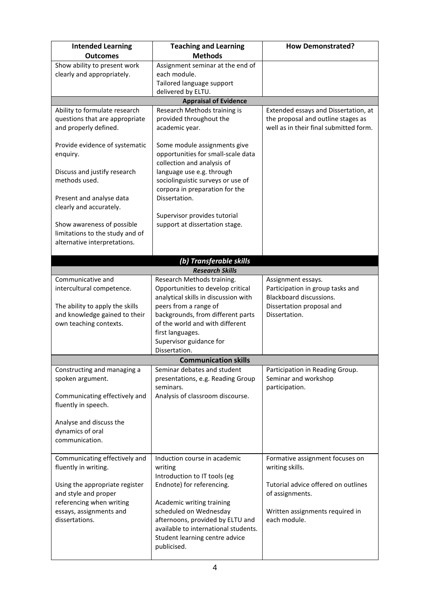| <b>Intended Learning</b>                              | <b>Teaching and Learning</b>                                    | <b>How Demonstrated?</b>                               |  |  |  |  |
|-------------------------------------------------------|-----------------------------------------------------------------|--------------------------------------------------------|--|--|--|--|
| <b>Outcomes</b>                                       | <b>Methods</b>                                                  |                                                        |  |  |  |  |
| Show ability to present work                          | Assignment seminar at the end of                                |                                                        |  |  |  |  |
| clearly and appropriately.                            | each module.                                                    |                                                        |  |  |  |  |
|                                                       | Tailored language support                                       |                                                        |  |  |  |  |
| delivered by ELTU.                                    |                                                                 |                                                        |  |  |  |  |
| Ability to formulate research                         | <b>Appraisal of Evidence</b><br>Research Methods training is    | Extended essays and Dissertation, at                   |  |  |  |  |
| questions that are appropriate                        | provided throughout the                                         | the proposal and outline stages as                     |  |  |  |  |
| and properly defined.                                 | academic year.                                                  | well as in their final submitted form.                 |  |  |  |  |
|                                                       |                                                                 |                                                        |  |  |  |  |
| Provide evidence of systematic                        | Some module assignments give                                    |                                                        |  |  |  |  |
| enquiry.                                              | opportunities for small-scale data                              |                                                        |  |  |  |  |
|                                                       | collection and analysis of                                      |                                                        |  |  |  |  |
| Discuss and justify research                          | language use e.g. through                                       |                                                        |  |  |  |  |
| methods used.                                         | sociolinguistic surveys or use of                               |                                                        |  |  |  |  |
|                                                       | corpora in preparation for the                                  |                                                        |  |  |  |  |
| Present and analyse data                              | Dissertation.                                                   |                                                        |  |  |  |  |
| clearly and accurately.                               |                                                                 |                                                        |  |  |  |  |
|                                                       | Supervisor provides tutorial                                    |                                                        |  |  |  |  |
| Show awareness of possible                            | support at dissertation stage.                                  |                                                        |  |  |  |  |
| limitations to the study and of                       |                                                                 |                                                        |  |  |  |  |
| alternative interpretations.                          |                                                                 |                                                        |  |  |  |  |
|                                                       |                                                                 |                                                        |  |  |  |  |
|                                                       | (b) Transferable skills                                         |                                                        |  |  |  |  |
|                                                       | <b>Research Skills</b>                                          |                                                        |  |  |  |  |
| Communicative and                                     | Research Methods training.<br>Opportunities to develop critical | Assignment essays.<br>Participation in group tasks and |  |  |  |  |
| intercultural competence.                             | analytical skills in discussion with                            | Blackboard discussions.                                |  |  |  |  |
| The ability to apply the skills                       | peers from a range of                                           | Dissertation proposal and                              |  |  |  |  |
| and knowledge gained to their                         | backgrounds, from different parts                               | Dissertation.                                          |  |  |  |  |
| own teaching contexts.                                | of the world and with different                                 |                                                        |  |  |  |  |
|                                                       | first languages.                                                |                                                        |  |  |  |  |
|                                                       | Supervisor guidance for                                         |                                                        |  |  |  |  |
|                                                       | Dissertation.                                                   |                                                        |  |  |  |  |
|                                                       | <b>Communication skills</b>                                     |                                                        |  |  |  |  |
| Constructing and managing a                           | Seminar debates and student                                     | Participation in Reading Group.                        |  |  |  |  |
| spoken argument.                                      | presentations, e.g. Reading Group                               | Seminar and workshop                                   |  |  |  |  |
|                                                       | seminars.                                                       | participation.                                         |  |  |  |  |
| Communicating effectively and                         | Analysis of classroom discourse.                                |                                                        |  |  |  |  |
| fluently in speech.                                   |                                                                 |                                                        |  |  |  |  |
|                                                       |                                                                 |                                                        |  |  |  |  |
| Analyse and discuss the                               |                                                                 |                                                        |  |  |  |  |
| dynamics of oral                                      |                                                                 |                                                        |  |  |  |  |
| communication.                                        |                                                                 |                                                        |  |  |  |  |
|                                                       |                                                                 |                                                        |  |  |  |  |
| Communicating effectively and<br>fluently in writing. | Induction course in academic<br>writing                         | Formative assignment focuses on<br>writing skills.     |  |  |  |  |
|                                                       | Introduction to IT tools (eg                                    |                                                        |  |  |  |  |
| Using the appropriate register                        | Endnote) for referencing.                                       | Tutorial advice offered on outlines                    |  |  |  |  |
| and style and proper                                  |                                                                 | of assignments.                                        |  |  |  |  |
| referencing when writing                              | Academic writing training                                       |                                                        |  |  |  |  |
| essays, assignments and                               | scheduled on Wednesday                                          | Written assignments required in                        |  |  |  |  |
| dissertations.                                        | afternoons, provided by ELTU and                                | each module.                                           |  |  |  |  |
|                                                       | available to international students.                            |                                                        |  |  |  |  |
|                                                       | Student learning centre advice                                  |                                                        |  |  |  |  |
|                                                       | publicised.                                                     |                                                        |  |  |  |  |
|                                                       |                                                                 |                                                        |  |  |  |  |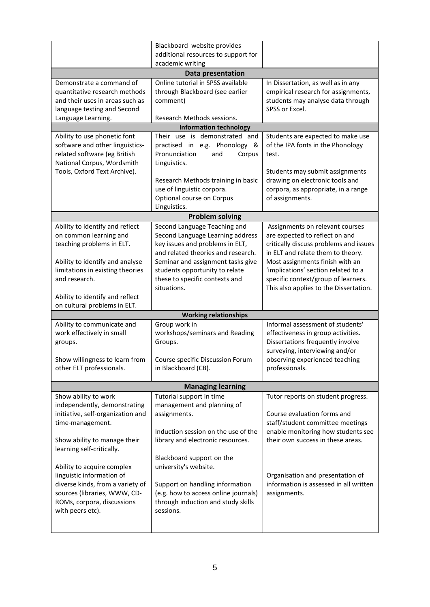|                                                           | Blackboard website provides<br>additional resources to support for |                                                                            |  |  |  |  |
|-----------------------------------------------------------|--------------------------------------------------------------------|----------------------------------------------------------------------------|--|--|--|--|
|                                                           | academic writing                                                   |                                                                            |  |  |  |  |
| Data presentation                                         |                                                                    |                                                                            |  |  |  |  |
| Demonstrate a command of                                  | Online tutorial in SPSS available                                  | In Dissertation, as well as in any                                         |  |  |  |  |
| quantitative research methods                             | through Blackboard (see earlier                                    | empirical research for assignments,                                        |  |  |  |  |
| and their uses in areas such as                           | comment)                                                           | students may analyse data through                                          |  |  |  |  |
| language testing and Second<br>Language Learning.         | SPSS or Excel.<br>Research Methods sessions.                       |                                                                            |  |  |  |  |
|                                                           | <b>Information technology</b>                                      |                                                                            |  |  |  |  |
| Ability to use phonetic font                              | Their use is demonstrated and                                      | Students are expected to make use                                          |  |  |  |  |
| software and other linguistics-                           | practised in e.g. Phonology &                                      | of the IPA fonts in the Phonology                                          |  |  |  |  |
| related software (eg British                              | Pronunciation<br>and<br>Corpus                                     | test.                                                                      |  |  |  |  |
| National Corpus, Wordsmith                                | Linguistics.                                                       |                                                                            |  |  |  |  |
| Tools, Oxford Text Archive).                              |                                                                    | Students may submit assignments                                            |  |  |  |  |
|                                                           | Research Methods training in basic<br>use of linguistic corpora.   | drawing on electronic tools and                                            |  |  |  |  |
|                                                           | Optional course on Corpus                                          | corpora, as appropriate, in a range<br>of assignments.                     |  |  |  |  |
|                                                           | Linguistics.                                                       |                                                                            |  |  |  |  |
|                                                           | <b>Problem solving</b>                                             |                                                                            |  |  |  |  |
| Ability to identify and reflect                           | Second Language Teaching and                                       | Assignments on relevant courses                                            |  |  |  |  |
| on common learning and                                    | Second Language Learning address                                   | are expected to reflect on and                                             |  |  |  |  |
| teaching problems in ELT.                                 | key issues and problems in ELT,                                    | critically discuss problems and issues                                     |  |  |  |  |
|                                                           | and related theories and research.                                 | in ELT and relate them to theory.                                          |  |  |  |  |
| Ability to identify and analyse                           | Seminar and assignment tasks give                                  | Most assignments finish with an                                            |  |  |  |  |
| limitations in existing theories<br>and research.         | students opportunity to relate<br>these to specific contexts and   | 'implications' section related to a<br>specific context/group of learners. |  |  |  |  |
|                                                           | situations.                                                        | This also applies to the Dissertation.                                     |  |  |  |  |
| Ability to identify and reflect                           |                                                                    |                                                                            |  |  |  |  |
|                                                           |                                                                    |                                                                            |  |  |  |  |
| on cultural problems in ELT.                              |                                                                    |                                                                            |  |  |  |  |
|                                                           | <b>Working relationships</b>                                       |                                                                            |  |  |  |  |
| Ability to communicate and                                | Group work in                                                      | Informal assessment of students'                                           |  |  |  |  |
| work effectively in small                                 | workshops/seminars and Reading                                     | effectiveness in group activities.                                         |  |  |  |  |
| groups.                                                   | Groups.                                                            | Dissertations frequently involve                                           |  |  |  |  |
|                                                           |                                                                    | surveying, interviewing and/or                                             |  |  |  |  |
| Show willingness to learn from                            | Course specific Discussion Forum                                   | observing experienced teaching                                             |  |  |  |  |
| other ELT professionals.                                  | in Blackboard (CB).                                                | professionals.                                                             |  |  |  |  |
|                                                           | <b>Managing learning</b>                                           |                                                                            |  |  |  |  |
| Show ability to work                                      | Tutorial support in time                                           | Tutor reports on student progress.                                         |  |  |  |  |
| independently, demonstrating                              | management and planning of                                         |                                                                            |  |  |  |  |
| initiative, self-organization and                         | assignments.                                                       | Course evaluation forms and                                                |  |  |  |  |
| time-management.                                          |                                                                    | staff/student committee meetings                                           |  |  |  |  |
|                                                           | Induction session on the use of the                                | enable monitoring how students see                                         |  |  |  |  |
| Show ability to manage their<br>learning self-critically. | library and electronic resources.                                  | their own success in these areas.                                          |  |  |  |  |
|                                                           | Blackboard support on the                                          |                                                                            |  |  |  |  |
| Ability to acquire complex                                | university's website.                                              |                                                                            |  |  |  |  |
| linguistic information of                                 |                                                                    | Organisation and presentation of                                           |  |  |  |  |
| diverse kinds, from a variety of                          | Support on handling information                                    | information is assessed in all written                                     |  |  |  |  |
| sources (libraries, WWW, CD-                              | (e.g. how to access online journals)                               | assignments.                                                               |  |  |  |  |
| ROMs, corpora, discussions                                | through induction and study skills                                 |                                                                            |  |  |  |  |
| with peers etc).                                          | sessions.                                                          |                                                                            |  |  |  |  |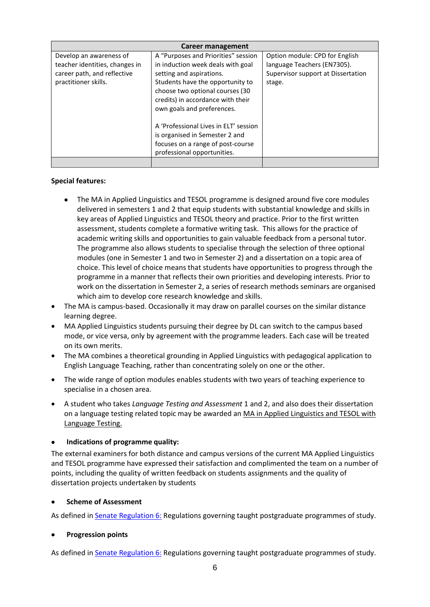| Career management                                                                                                |                                                                                                                                                                                                                                                |                                                                                                               |  |  |  |
|------------------------------------------------------------------------------------------------------------------|------------------------------------------------------------------------------------------------------------------------------------------------------------------------------------------------------------------------------------------------|---------------------------------------------------------------------------------------------------------------|--|--|--|
| Develop an awareness of<br>teacher identities, changes in<br>career path, and reflective<br>practitioner skills. | A "Purposes and Priorities" session<br>in induction week deals with goal<br>setting and aspirations.<br>Students have the opportunity to<br>choose two optional courses (30<br>credits) in accordance with their<br>own goals and preferences. | Option module: CPD for English<br>language Teachers (EN7305).<br>Supervisor support at Dissertation<br>stage. |  |  |  |
|                                                                                                                  | A 'Professional Lives in ELT' session<br>is organised in Semester 2 and<br>focuses on a range of post-course<br>professional opportunities.                                                                                                    |                                                                                                               |  |  |  |

### **Special features:**

- The MA in Applied Linguistics and TESOL programme is designed around five core modules delivered in semesters 1 and 2 that equip students with substantial knowledge and skills in key areas of Applied Linguistics and TESOL theory and practice. Prior to the first written assessment, students complete a formative writing task. This allows for the practice of academic writing skills and opportunities to gain valuable feedback from a personal tutor. The programme also allows students to specialise through the selection of three optional modules (one in Semester 1 and two in Semester 2) and a dissertation on a topic area of choice. This level of choice means that students have opportunities to progress through the programme in a manner that reflects their own priorities and developing interests. Prior to work on the dissertation in Semester 2, a series of research methods seminars are organised which aim to develop core research knowledge and skills.
- The MA is campus-based. Occasionally it may draw on parallel courses on the similar distance learning degree.
- MA Applied Linguistics students pursuing their degree by DL can switch to the campus based mode, or vice versa, only by agreement with the programme leaders. Each case will be treated on its own merits.
- The MA combines a theoretical grounding in Applied Linguistics with pedagogical application to English Language Teaching, rather than concentrating solely on one or the other.
- The wide range of option modules enables students with two years of teaching experience to specialise in a chosen area.
- A student who takes *Language Testing and Assessment* 1 and 2, and also does their dissertation on a language testing related topic may be awarded an MA in Applied Linguistics and TESOL with Language Testing.

#### • **Indications of programme quality:**

The external examiners for both distance and campus versions of the current MA Applied Linguistics and TESOL programme have expressed their satisfaction and complimented the team on a number of points, including the quality of written feedback on students assignments and the quality of dissertation projects undertaken by students

#### • **Scheme of Assessment**

As defined i[n Senate Regulation 6:](http://www.le.ac.uk/senate-regulation6) Regulations governing taught postgraduate programmes of study.

#### • **Progression points**

As defined i[n Senate Regulation 6:](http://www.le.ac.uk/senate-regulation6) Regulations governing taught postgraduate programmes of study.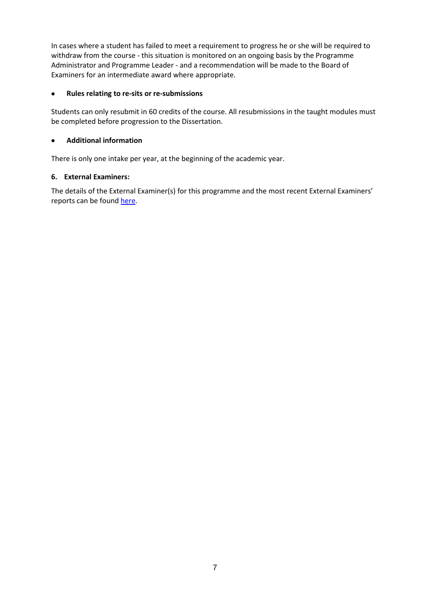In cases where a student has failed to meet a requirement to progress he or she will be required to withdraw from the course - this situation is monitored on an ongoing basis by the Programme Administrator and Programme Leader - and a recommendation will be made to the Board of Examiners for an intermediate award where appropriate.

## • **Rules relating to re-sits or re-submissions**

Students can only resubmit in 60 credits of the course. All resubmissions in the taught modules must be completed before progression to the Dissertation.

# • **Additional information**

There is only one intake per year, at the beginning of the academic year.

# **6. External Examiners:**

The details of the External Examiner(s) for this programme and the most recent External Examiners' reports can be found [here.](https://exampapers.le.ac.uk/xmlui/handle/123456789/213)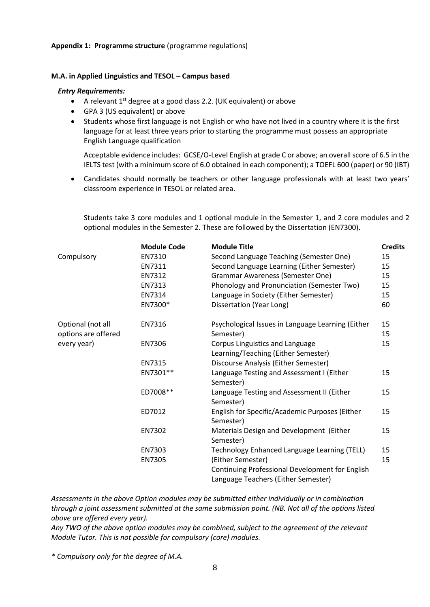#### **M.A. in Applied Linguistics and TESOL – Campus based**

#### *Entry Requirements:*

- A relevant  $1^{st}$  degree at a good class 2.2. (UK equivalent) or above
- GPA 3 (US equivalent) or above
- Students whose first language is not English or who have not lived in a country where it is the first language for at least three years prior to starting the programme must possess an appropriate English Language qualification

Acceptable evidence includes: GCSE/O-Level English at grade C or above; an overall score of 6.5 in the IELTS test (with a minimum score of 6.0 obtained in each component); a TOEFL 600 (paper) or 90 (IBT)

• Candidates should normally be teachers or other language professionals with at least two years' classroom experience in TESOL or related area.

Students take 3 core modules and 1 optional module in the Semester 1, and 2 core modules and 2 optional modules in the Semester 2. These are followed by the Dissertation (EN7300).

|                     | <b>Module Code</b> | <b>Module Title</b>                                                                    | <b>Credits</b> |
|---------------------|--------------------|----------------------------------------------------------------------------------------|----------------|
| Compulsory          | EN7310             | Second Language Teaching (Semester One)                                                | 15             |
|                     | EN7311             | Second Language Learning (Either Semester)                                             | 15             |
|                     | EN7312             | <b>Grammar Awareness (Semester One)</b>                                                | 15             |
|                     | EN7313             | Phonology and Pronunciation (Semester Two)                                             | 15             |
|                     | EN7314             | Language in Society (Either Semester)                                                  | 15             |
|                     | EN7300*            | Dissertation (Year Long)                                                               | 60             |
| Optional (not all   | EN7316             | Psychological Issues in Language Learning (Either                                      | 15             |
| options are offered |                    | Semester)                                                                              | 15             |
| every year)         | EN7306             | Corpus Linguistics and Language                                                        | 15             |
|                     |                    | Learning/Teaching (Either Semester)                                                    |                |
|                     | EN7315             | Discourse Analysis (Either Semester)                                                   |                |
|                     | EN7301**           | Language Testing and Assessment I (Either                                              | 15             |
|                     |                    | Semester)                                                                              |                |
|                     | ED7008**           | Language Testing and Assessment II (Either                                             | 15             |
|                     |                    | Semester)                                                                              |                |
|                     | ED7012             | English for Specific/Academic Purposes (Either                                         | 15             |
|                     |                    | Semester)                                                                              |                |
|                     | EN7302             | Materials Design and Development (Either                                               | 15             |
|                     |                    | Semester)                                                                              |                |
|                     | EN7303             | Technology Enhanced Language Learning (TELL)                                           | 15             |
|                     | EN7305             | (Either Semester)                                                                      | 15             |
|                     |                    | Continuing Professional Development for English<br>Language Teachers (Either Semester) |                |

*Assessments in the above Option modules may be submitted either individually or in combination through a joint assessment submitted at the same submission point. (NB. Not all of the options listed above are offered every year).*

*Any TWO of the above option modules may be combined, subject to the agreement of the relevant Module Tutor. This is not possible for compulsory (core) modules.* 

*\* Compulsory only for the degree of M.A.*